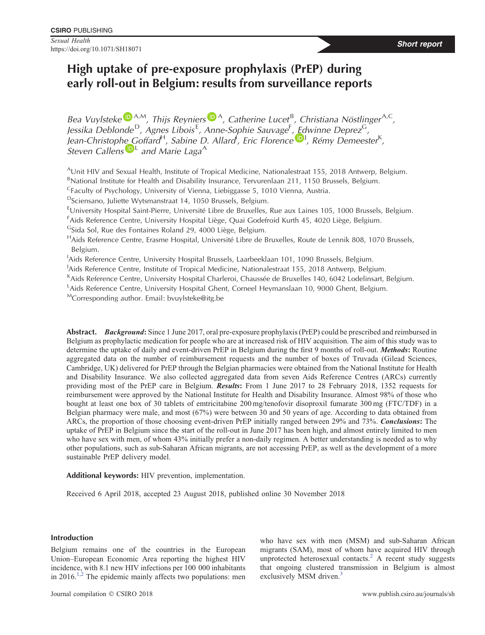**Sexual Health** Sexual Health **Short report Short report Short report Short report** 

# **High uptake of pre-exposure prophylaxis (PrEP) during early roll-out in Belgium: results from surveillance reports**

*B[e](https://orcid.org/0000-0003-0514-4372)a Vuylsteke* <sup>D A,M</sup>, Thijs Reyniers<sup>D A</sup>, Catherine Lucet<sup>B</sup>, Christiana Nöstlinger<sup>A,C</sup>, *Jessika Deblonde* <sup>D</sup>*, Agnes Libois* <sup>E</sup> *, Anne-Sophie Sauvage*<sup>F</sup> *, Edwinne Deprez*G*, J[e](https://orcid.org/0000-0002-7004-9120)an-Christophe Goffard<sup>H</sup>, Sabine D. Allard<sup>I</sup>, Eric Florence<sup>(D)</sup>, Rémy Demeester<sup>K</sup>, Steven Callens*  $\mathbf{D}^{\mathsf{L}}$  $\mathbf{D}^{\mathsf{L}}$  $\mathbf{D}^{\mathsf{L}}$  *and Marie Laga*<sup>A</sup>

A Unit HIV and Sexual Health, Institute of Tropical Medicine, Nationalestraat 155, 2018 Antwerp, Belgium. <sup>B</sup>National Institute for Health and Disability Insurance, Tervurenlaan 211, 1150 Brussels, Belgium.

CFaculty of Psychology, University of Vienna, Liebiggasse 5, 1010 Vienna, Austria.

DSciensano, Juliette Wytsmanstraat 14, 1050 Brussels, Belgium.

E University Hospital Saint-Pierre, Université Libre de Bruxelles, Rue aux Laines 105, 1000 Brussels, Belgium.

<sup>F</sup>Aids Reference Centre, University Hospital Liège, Quai Godefroid Kurth 45, 4020 Liège, Belgium.

<sup>G</sup>Sida Sol, Rue des Fontaines Roland 29, 4000 Liège, Belgium.

HAids Reference Centre, Erasme Hospital, Université Libre de Bruxelles, Route de Lennik 808, 1070 Brussels, Belgium.

<sup>1</sup>Aids Reference Centre, University Hospital Brussels, Laarbeeklaan 101, 1090 Brussels, Belgium.

<sup>J</sup>Aids Reference Centre, Institute of Tropical Medicine, Nationalestraat 155, 2018 Antwerp, Belgium.

<sup>K</sup>Aids Reference Centre, University Hospital Charleroi, Chaussée de Bruxelles 140, 6042 Lodelinsart, Belgium.

<sup>L</sup>Aids Reference Centre, University Hospital Ghent, Corneel Heymanslaan 10, 9000 Ghent, Belgium.

MCorresponding author. Email: [bvuylsteke@itg.be](mailto:bvuylsteke@itg.be)

**Abstract.** *Background***:** Since 1 June 2017, oral pre-exposure prophylaxis (PrEP) could be prescribed and reimbursed in Belgium as prophylactic medication for people who are at increased risk of HIV acquisition. The aim of this study was to determine the uptake of daily and event-driven PrEP in Belgium during the first 9 months of roll-out. *Methods***:** Routine aggregated data on the number of reimbursement requests and the number of boxes of Truvada (Gilead Sciences, Cambridge, UK) delivered for PrEP through the Belgian pharmacies were obtained from the National Institute for Health and Disability Insurance. We also collected aggregated data from seven Aids Reference Centres (ARCs) currently providing most of the PrEP care in Belgium. *Results***:** From 1 June 2017 to 28 February 2018, 1352 requests for reimbursement were approved by the National Institute for Health and Disability Insurance. Almost 98% of those who bought at least one box of 30 tablets of emtricitabine 200 mg/tenofovir disoproxil fumarate 300 mg (FTC/TDF) in a Belgian pharmacy were male, and most (67%) were between 30 and 50 years of age. According to data obtained from ARCs, the proportion of those choosing event-driven PrEP initially ranged between 29% and 73%. *Conclusions***:** The uptake of PrEP in Belgium since the start of the roll-out in June 2017 has been high, and almost entirely limited to men who have sex with men, of whom 43% initially prefer a non-daily regimen. A better understanding is needed as to why other populations, such as sub-Saharan African migrants, are not accessing PrEP, as well as the development of a more sustainable PrEP delivery model.

**Additional keywords:** HIV prevention, implementation.

Received 6 April 2018, accepted 23 August 2018, published online 30 November 2018

# **Introduction**

Belgium remains one of the countries in the European Union–European Economic Area reporting the highest HIV incidence, with 8.1 new HIV infections per 100 000 inhabitants in  $2016$ <sup> $1,2$ </sup> The epidemic mainly affects two populations: men

Journal compilation CSIRO 2018 www.publish.csiro.au/journals/sh

who have sex with men (MSM) and sub-Saharan African migrants (SAM), most of whom have acquired HIV through unprotected heterosexual contacts.<sup>[2](#page-3-0)</sup> A recent study suggests that ongoing clustered transmission in Belgium is almost exclusively MSM driven.<sup>[3](#page-3-0)</sup>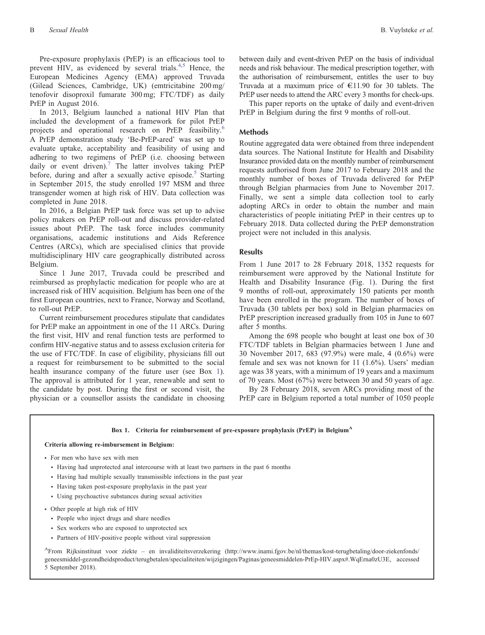Pre-exposure prophylaxis (PrEP) is an efficacious tool to prevent HIV, as evidenced by several trials.<sup>[4,5](#page-3-0)</sup> Hence, the European Medicines Agency (EMA) approved Truvada (Gilead Sciences, Cambridge, UK) (emtricitabine 200 mg/ tenofovir disoproxil fumarate 300 mg; FTC/TDF) as daily PrEP in August 2016.

In 2013, Belgium launched a national HIV Plan that included the development of a framework for pilot PrEP projects and operational research on PrEP feasibility.<sup>6</sup> A PrEP demonstration study 'Be-PrEP-ared' was set up to evaluate uptake, acceptability and feasibility of using and adhering to two regimens of PrEP (i.e. choosing between daily or event driven).<sup>[7](#page-3-0)</sup> The latter involves taking PrEP before, during and after a sexually active episode.<sup>5</sup> Starting in September 2015, the study enrolled 197 MSM and three transgender women at high risk of HIV. Data collection was completed in June 2018.

In 2016, a Belgian PrEP task force was set up to advise policy makers on PrEP roll-out and discuss provider-related issues about PrEP. The task force includes community organisations, academic institutions and Aids Reference Centres (ARCs), which are specialised clinics that provide multidisciplinary HIV care geographically distributed across Belgium.

Since 1 June 2017, Truvada could be prescribed and reimbursed as prophylactic medication for people who are at increased risk of HIV acquisition. Belgium has been one of the first European countries, next to France, Norway and Scotland, to roll-out PrEP.

Current reimbursement procedures stipulate that candidates for PrEP make an appointment in one of the 11 ARCs. During the first visit, HIV and renal function tests are performed to confirm HIV-negative status and to assess exclusion criteria for the use of FTC/TDF. In case of eligibility, physicians fill out a request for reimbursement to be submitted to the social health insurance company of the future user (see Box [1](#page-3-0)). The approval is attributed for 1 year, renewable and sent to the candidate by post. During the first or second visit, the physician or a counsellor assists the candidate in choosing

between daily and event-driven PrEP on the basis of individual needs and risk behaviour. The medical prescription together, with the authorisation of reimbursement, entitles the user to buy Truvada at a maximum price of  $\epsilon$ 11.90 for 30 tablets. The PrEP user needs to attend the ARC every 3 months for check-ups.

This paper reports on the uptake of daily and event-driven PrEP in Belgium during the first 9 months of roll-out.

## **Methods**

Routine aggregated data were obtained from three independent data sources. The National Institute for Health and Disability Insurance provided data on the monthly number of reimbursement requests authorised from June 2017 to February 2018 and the monthly number of boxes of Truvada delivered for PrEP through Belgian pharmacies from June to November 2017. Finally, we sent a simple data collection tool to early adopting ARCs in order to obtain the number and main characteristics of people initiating PrEP in their centres up to February 2018. Data collected during the PrEP demonstration project were not included in this analysis.

# **Results**

From 1 June 2017 to 28 February 2018, 1352 requests for reimbursement were approved by the National Institute for Health and Disability Insurance (Fig. [1\)](#page-2-0). During the first 9 months of roll-out, approximately 150 patients per month have been enrolled in the program. The number of boxes of Truvada (30 tablets per box) sold in Belgian pharmacies on PrEP prescription increased gradually from 105 in June to 607 after 5 months.

Among the 698 people who bought at least one box of 30 FTC/TDF tablets in Belgian pharmacies between 1 June and 30 November 2017, 683 (97.9%) were male, 4 (0.6%) were female and sex was not known for 11 (1.6%). Users' median age was 38 years, with a minimum of 19 years and a maximum of 70 years. Most (67%) were between 30 and 50 years of age.

By 28 February 2018, seven ARCs providing most of the PrEP care in Belgium reported a total number of 1050 people

#### **Box 1. Criteria for reimbursement of pre-exposure prophylaxis (PrEP) in Belgium<sup>A</sup>**

#### **Criteria allowing re-imbursement in Belgium:**

- \* For men who have sex with men
	- \* Having had unprotected anal intercourse with at least two partners in the past 6 months
	- \* Having had multiple sexually transmissible infections in the past year
	- \* Having taken post-exposure prophylaxis in the past year
	- \* Using psychoactive substances during sexual activities
- Other people at high risk of HIV
	- \* People who inject drugs and share needles
	- \* Sex workers who are exposed to unprotected sex
	- \* Partners of HIV-positive people without viral suppression

AFrom Rijksinstituut voor ziekte – en invaliditeitsverzekering ([http://www.inami.fgov.be/nl/themas/kost-terugbetaling/door-ziekenfonds/](www.inami.fgov.be/nl/themas/kost-terugbetaling/door-ziekenfonds/geneesmiddel-gezondheidsproduct/terugbetalen/specialiteiten/wijzigingen/Paginas/geneesmiddelen-PrEp-HIV.aspx#.WqErna0zU3E) [geneesmiddel-gezondheidsproduct/terugbetalen/specialiteiten/wijzigingen/Paginas/geneesmiddelen-PrEp-HIV.aspx#.WqErna0zU3E](www.inami.fgov.be/nl/themas/kost-terugbetaling/door-ziekenfonds/geneesmiddel-gezondheidsproduct/terugbetalen/specialiteiten/wijzigingen/Paginas/geneesmiddelen-PrEp-HIV.aspx#.WqErna0zU3E), accessed 5 September 2018).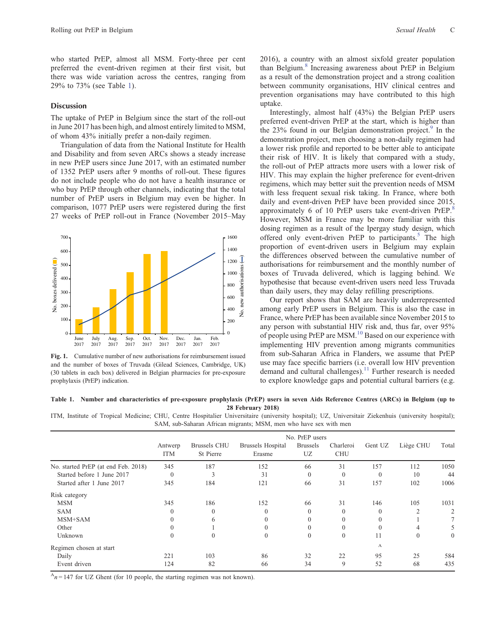<span id="page-2-0"></span>who started PrEP, almost all MSM. Forty-three per cent preferred the event-driven regimen at their first visit, but there was wide variation across the centres, ranging from 29% to 73% (see Table 1).

## **Discussion**

The uptake of PrEP in Belgium since the start of the roll-out in June 2017 has been high, and almost entirely limited to MSM, of whom 43% initially prefer a non-daily regimen.

Triangulation of data from the National Institute for Health and Disability and from seven ARCs shows a steady increase in new PrEP users since June 2017, with an estimated number of 1352 PrEP users after 9 months of roll-out. These figures do not include people who do not have a health insurance or who buy PrEP through other channels, indicating that the total number of PrEP users in Belgium may even be higher. In comparison, 1077 PrEP users were registered during the first 27 weeks of PrEP roll-out in France (November 2015–May



**Fig. 1.** Cumulative number of new authorisations for reimbursement issued and the number of boxes of Truvada (Gilead Sciences, Cambridge, UK) (30 tablets in each box) delivered in Belgian pharmacies for pre-exposure prophylaxis (PrEP) indication.

2016), a country with an almost sixfold greater population than Belgium.<sup>[8](#page-3-0)</sup> Increasing awareness about PrEP in Belgium as a result of the demonstration project and a strong coalition between community organisations, HIV clinical centres and prevention organisations may have contributed to this high uptake.

Interestingly, almost half (43%) the Belgian PrEP users preferred event-driven PrEP at the start, which is higher than the  $23\%$  found in our Belgian demonstration project.<sup>9</sup> In the demonstration project, men choosing a non-daily regimen had a lower risk profile and reported to be better able to anticipate their risk of HIV. It is likely that compared with a study, the roll-out of PrEP attracts more users with a lower risk of HIV. This may explain the higher preference for event-driven regimens, which may better suit the prevention needs of MSM with less frequent sexual risk taking. In France, where both daily and event-driven PrEP have been provided since 2015, approximately 6 of 10 PrEP users take event-driven PrEP.<sup>[8](#page-3-0)</sup> However, MSM in France may be more familiar with this dosing regimen as a result of the Ipergay study design, which offered only event-driven PrEP to participants.<sup>5</sup> The high proportion of event-driven users in Belgium may explain the differences observed between the cumulative number of authorisations for reimbursement and the monthly number of boxes of Truvada delivered, which is lagging behind. We hypothesise that because event-driven users need less Truvada than daily users, they may delay refilling prescriptions.

Our report shows that SAM are heavily underrepresented among early PrEP users in Belgium. This is also the case in France, where PrEP has been available since November 2015 to any person with substantial HIV risk and, thus far, over 95% of people using PrEP are MSM.<sup>[10](#page-3-0)</sup> Based on our experience with implementing HIV prevention among migrants communities from sub-Saharan Africa in Flanders, we assume that PrEP use may face specific barriers (i.e. overall low HIV prevention demand and cultural challenges).<sup>[11](#page-3-0)</sup> Further research is needed to explore knowledge gaps and potential cultural barriers (e.g.

#### **Table 1. Number and characteristics of pre-exposure prophylaxis (PrEP) users in seven Aids Reference Centres (ARCs) in Belgium (up to 28 February 2018)**

ITM, Institute of Tropical Medicine; CHU, Centre Hospitalier Universitaire (university hospital); UZ, Universitair Ziekenhuis (university hospital); SAM, sub-Saharan African migrants; MSM, men who have sex with men

|                                     | No. PrEP users        |                           |                                    |                       |                         |          |                |          |
|-------------------------------------|-----------------------|---------------------------|------------------------------------|-----------------------|-------------------------|----------|----------------|----------|
|                                     | Antwerp<br><b>ITM</b> | Brussels CHU<br>St Pierre | <b>Brussels Hospital</b><br>Erasme | <b>Brussels</b><br>UZ | Charleroi<br><b>CHU</b> | Gent UZ  | Liège CHU      | Total    |
| No. started PrEP (at end Feb. 2018) | 345                   | 187                       | 152                                | 66                    | 31                      | 157      | 112            | 1050     |
| Started before 1 June 2017          | $\theta$              | $\mathcal{E}$             | 31                                 | $\theta$              | $\Omega$                | $\Omega$ | 10             | 44       |
| Started after 1 June 2017           | 345                   | 184                       | 121                                | 66                    | 31                      | 157      | 102            | 1006     |
| Risk category                       |                       |                           |                                    |                       |                         |          |                |          |
| <b>MSM</b>                          | 345                   | 186                       | 152                                | 66                    | 31                      | 146      | 105            | 1031     |
| <b>SAM</b>                          | $\theta$              | $\theta$                  |                                    | $\Omega$              | $\theta$                | $\Omega$ | $\overline{2}$ |          |
| MSM+SAM                             | $\Omega$              | 6                         |                                    | $\Omega$              | $\theta$                |          |                |          |
| Other                               | $\theta$              |                           |                                    | $\Omega$              | $\mathbf{0}$            |          | 4              |          |
| Unknown                             | $\theta$              | $\mathbf{0}$              | $\Omega$                           | $\Omega$              | $\mathbf{0}$            | 11       | $\mathbf{0}$   | $\theta$ |
| Regimen chosen at start             |                       |                           |                                    |                       |                         | A        |                |          |
| Daily                               | 221                   | 103                       | 86                                 | 32                    | 22                      | 95       | 25             | 584      |
| Event driven                        | 124                   | 82                        | 66                                 | 34                    | 9                       | 52       | 68             | 435      |

 $A_n = 147$  for UZ Ghent (for 10 people, the starting regimen was not known).